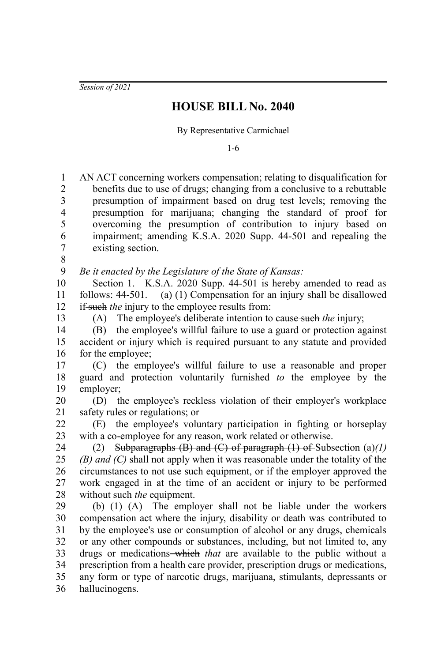*Session of 2021*

## **HOUSE BILL No. 2040**

By Representative Carmichael

1-6

AN ACT concerning workers compensation; relating to disqualification for benefits due to use of drugs; changing from a conclusive to a rebuttable presumption of impairment based on drug test levels; removing the presumption for marijuana; changing the standard of proof for overcoming the presumption of contribution to injury based on impairment; amending K.S.A. 2020 Supp. 44-501 and repealing the existing section. *Be it enacted by the Legislature of the State of Kansas:* Section 1. K.S.A. 2020 Supp. 44-501 is hereby amended to read as follows: 44-501. (a) (1) Compensation for an injury shall be disallowed if-such *the* injury to the employee results from: (A) The employee's deliberate intention to cause such *the* injury; (B) the employee's willful failure to use a guard or protection against accident or injury which is required pursuant to any statute and provided for the employee; (C) the employee's willful failure to use a reasonable and proper guard and protection voluntarily furnished *to* the employee by the employer; (D) the employee's reckless violation of their employer's workplace safety rules or regulations; or (E) the employee's voluntary participation in fighting or horseplay with a co-employee for any reason, work related or otherwise. (2) Subparagraphs (B) and (C) of paragraph (1) of Subsection (a)*(1) (B) and (C)* shall not apply when it was reasonable under the totality of the circumstances to not use such equipment, or if the employer approved the work engaged in at the time of an accident or injury to be performed without such the equipment. (b) (1) (A) The employer shall not be liable under the workers compensation act where the injury, disability or death was contributed to by the employee's use or consumption of alcohol or any drugs, chemicals or any other compounds or substances, including, but not limited to, any drugs or medications which *that* are available to the public without a prescription from a health care provider, prescription drugs or medications, any form or type of narcotic drugs, marijuana, stimulants, depressants or hallucinogens. 1 2 3 4 5 6 7 8 9 10 11 12 13 14 15 16 17 18 19 20 21 22 23 24 25 26 27 28 29 30 31 32 33 34 35 36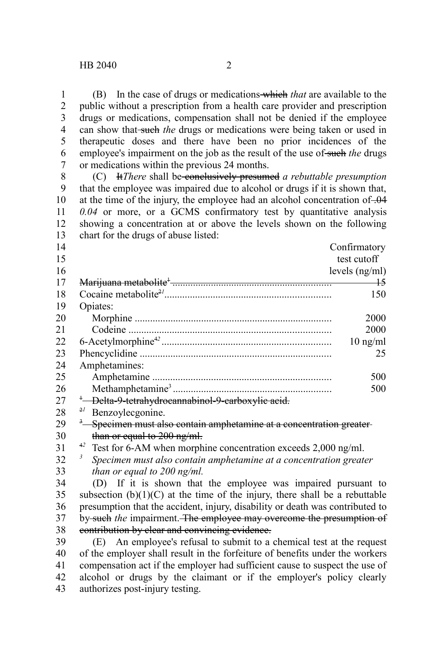(B) In the case of drugs or medications which *that* are available to the public without a prescription from a health care provider and prescription drugs or medications, compensation shall not be denied if the employee can show that-such the drugs or medications were being taken or used in therapeutic doses and there have been no prior incidences of the employee's impairment on the job as the result of the use of such the drugs or medications within the previous 24 months. 1 2 3 4 5 6 7

(C) It*There* shall be conclusively presumed *a rebuttable presumption* that the employee was impaired due to alcohol or drugs if it is shown that, at the time of the injury, the employee had an alcohol concentration of .04 *0.04* or more, or a GCMS confirmatory test by quantitative analysis showing a concentration at or above the levels shown on the following chart for the drugs of abuse listed: 8 9 10 11 12 13

| 14 |                                                                                 | Confirmatory     |  |
|----|---------------------------------------------------------------------------------|------------------|--|
| 15 |                                                                                 | test cutoff      |  |
| 16 |                                                                                 | levels $(ng/ml)$ |  |
| 17 |                                                                                 | +5               |  |
| 18 |                                                                                 | 150              |  |
| 19 | Opiates:                                                                        |                  |  |
| 20 |                                                                                 | 2000             |  |
| 21 |                                                                                 | 2000             |  |
| 22 |                                                                                 | $10$ ng/ml       |  |
| 23 |                                                                                 | 25               |  |
| 24 | Amphetamines:                                                                   |                  |  |
| 25 |                                                                                 | 500              |  |
| 26 |                                                                                 | 500              |  |
| 27 | <sup>+</sup> -Delta-9-tetrahydrocannabinol-9-carboxylic acid.                   |                  |  |
| 28 | 2l<br>Benzoylecgonine.                                                          |                  |  |
| 29 | <sup>3</sup> Specimen must also contain amphetamine at a concentration greater- |                  |  |
| 30 | than or equal to 200 ng/ml.                                                     |                  |  |
| 31 | <sup>42</sup> Test for 6-AM when morphine concentration exceeds 2,000 ng/ml.    |                  |  |
| 32 | 3<br>Specimen must also contain amphetamine at a concentration greater          |                  |  |
| 33 | than or equal to 200 ng/ml.                                                     |                  |  |

*than or equal to 200 ng/ml.*

(D) If it is shown that the employee was impaired pursuant to subsection  $(b)(1)(C)$  at the time of the injury, there shall be a rebuttable presumption that the accident, injury, disability or death was contributed to by such *the* impairment. The employee may overcome the presumption of contribution by clear and convincing evidence. 34 35 36 37 38

(E) An employee's refusal to submit to a chemical test at the request of the employer shall result in the forfeiture of benefits under the workers compensation act if the employer had sufficient cause to suspect the use of alcohol or drugs by the claimant or if the employer's policy clearly authorizes post-injury testing. 39 40 41 42 43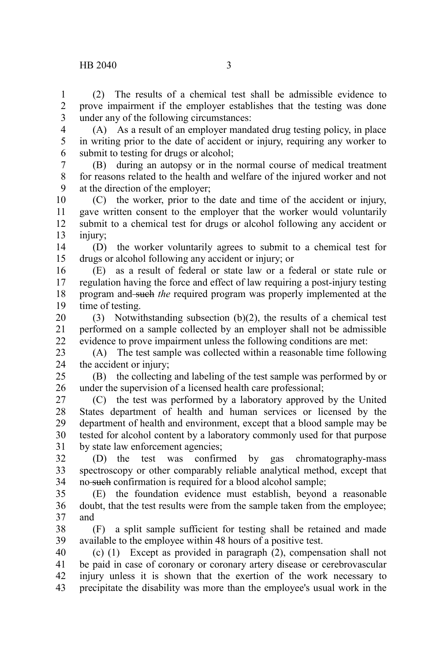(2) The results of a chemical test shall be admissible evidence to prove impairment if the employer establishes that the testing was done under any of the following circumstances: 1 2 3

4 5 6

(A) As a result of an employer mandated drug testing policy, in place in writing prior to the date of accident or injury, requiring any worker to submit to testing for drugs or alcohol;

(B) during an autopsy or in the normal course of medical treatment for reasons related to the health and welfare of the injured worker and not at the direction of the employer; 7 8 9

(C) the worker, prior to the date and time of the accident or injury, gave written consent to the employer that the worker would voluntarily submit to a chemical test for drugs or alcohol following any accident or injury; 10 11 12 13

(D) the worker voluntarily agrees to submit to a chemical test for drugs or alcohol following any accident or injury; or 14 15

(E) as a result of federal or state law or a federal or state rule or regulation having the force and effect of law requiring a post-injury testing program and such *the* required program was properly implemented at the time of testing. 16 17 18 19

(3) Notwithstanding subsection (b)(2), the results of a chemical test performed on a sample collected by an employer shall not be admissible evidence to prove impairment unless the following conditions are met: 20 21 22

(A) The test sample was collected within a reasonable time following the accident or injury; 23 24

(B) the collecting and labeling of the test sample was performed by or under the supervision of a licensed health care professional; 25 26

(C) the test was performed by a laboratory approved by the United States department of health and human services or licensed by the department of health and environment, except that a blood sample may be tested for alcohol content by a laboratory commonly used for that purpose by state law enforcement agencies; 27 28 29 30 31

(D) the test was confirmed by gas chromatography-mass spectroscopy or other comparably reliable analytical method, except that no-such confirmation is required for a blood alcohol sample; 32 33 34

(E) the foundation evidence must establish, beyond a reasonable doubt, that the test results were from the sample taken from the employee; and 35 36 37

(F) a split sample sufficient for testing shall be retained and made available to the employee within 48 hours of a positive test. 38 39

(c) (1) Except as provided in paragraph (2), compensation shall not be paid in case of coronary or coronary artery disease or cerebrovascular injury unless it is shown that the exertion of the work necessary to precipitate the disability was more than the employee's usual work in the 40 41 42 43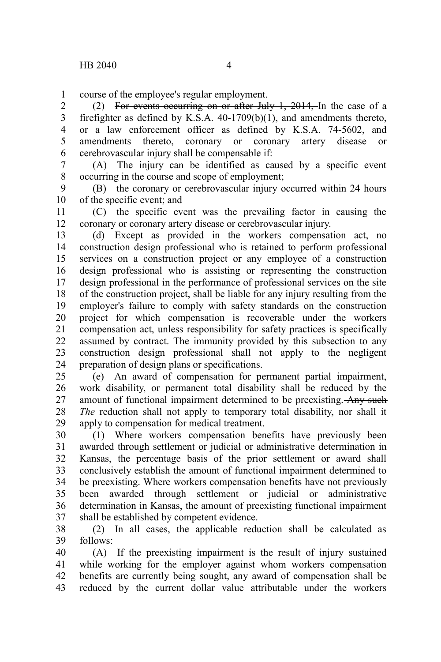course of the employee's regular employment. 1

(2) For events occurring on or after July 1, 2014, In the case of a firefighter as defined by K.S.A. 40-1709(b)(1), and amendments thereto, or a law enforcement officer as defined by K.S.A. 74-5602, and amendments thereto, coronary or coronary artery disease or cerebrovascular injury shall be compensable if: 2 3 4 5 6

(A) The injury can be identified as caused by a specific event occurring in the course and scope of employment; 7 8

(B) the coronary or cerebrovascular injury occurred within 24 hours of the specific event; and 9 10

(C) the specific event was the prevailing factor in causing the coronary or coronary artery disease or cerebrovascular injury. 11 12

(d) Except as provided in the workers compensation act, no construction design professional who is retained to perform professional services on a construction project or any employee of a construction design professional who is assisting or representing the construction design professional in the performance of professional services on the site of the construction project, shall be liable for any injury resulting from the employer's failure to comply with safety standards on the construction project for which compensation is recoverable under the workers compensation act, unless responsibility for safety practices is specifically assumed by contract. The immunity provided by this subsection to any construction design professional shall not apply to the negligent preparation of design plans or specifications. 13 14 15 16 17 18 19 20 21 22 23 24

(e) An award of compensation for permanent partial impairment, work disability, or permanent total disability shall be reduced by the amount of functional impairment determined to be preexisting. Any such *The* reduction shall not apply to temporary total disability, nor shall it apply to compensation for medical treatment. 25 26 27 28 29

(1) Where workers compensation benefits have previously been awarded through settlement or judicial or administrative determination in Kansas, the percentage basis of the prior settlement or award shall conclusively establish the amount of functional impairment determined to be preexisting. Where workers compensation benefits have not previously been awarded through settlement or judicial or administrative determination in Kansas, the amount of preexisting functional impairment shall be established by competent evidence. 30 31 32 33 34 35 36 37

(2) In all cases, the applicable reduction shall be calculated as follows: 38 39

(A) If the preexisting impairment is the result of injury sustained while working for the employer against whom workers compensation benefits are currently being sought, any award of compensation shall be reduced by the current dollar value attributable under the workers 40 41 42 43